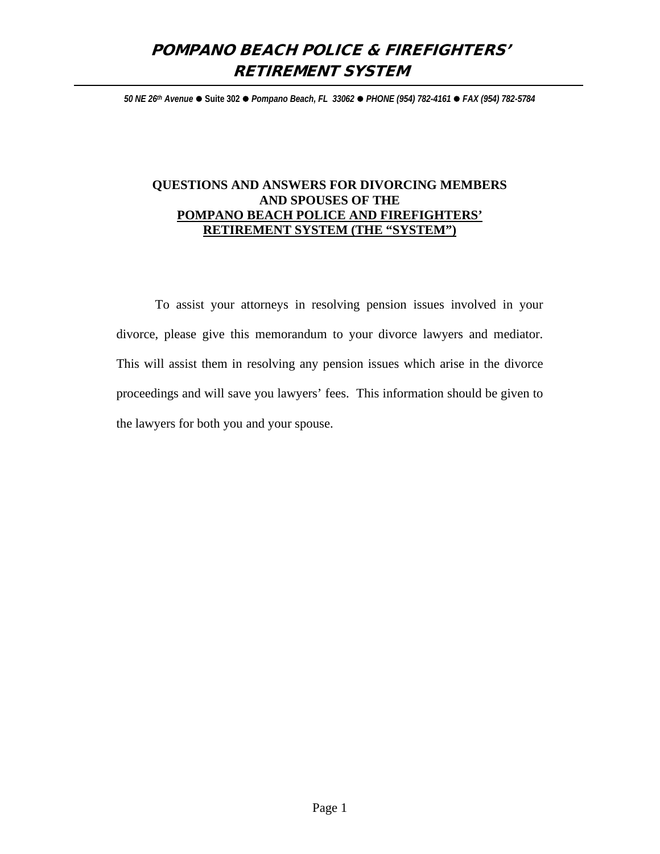# POMPANO BEACH POLICE & FIREFIGHTERS' RETIREMENT SYSTEM

*50 NE 26th Avenue* **Suite 302** *Pompano Beach, FL 33062 PHONE (954) 782-4161 FAX (954) 782-5784*

# **QUESTIONS AND ANSWERS FOR DIVORCING MEMBERS AND SPOUSES OF THE POMPANO BEACH POLICE AND FIREFIGHTERS' RETIREMENT SYSTEM (THE "SYSTEM")**

To assist your attorneys in resolving pension issues involved in your divorce, please give this memorandum to your divorce lawyers and mediator. This will assist them in resolving any pension issues which arise in the divorce proceedings and will save you lawyers' fees. This information should be given to the lawyers for both you and your spouse.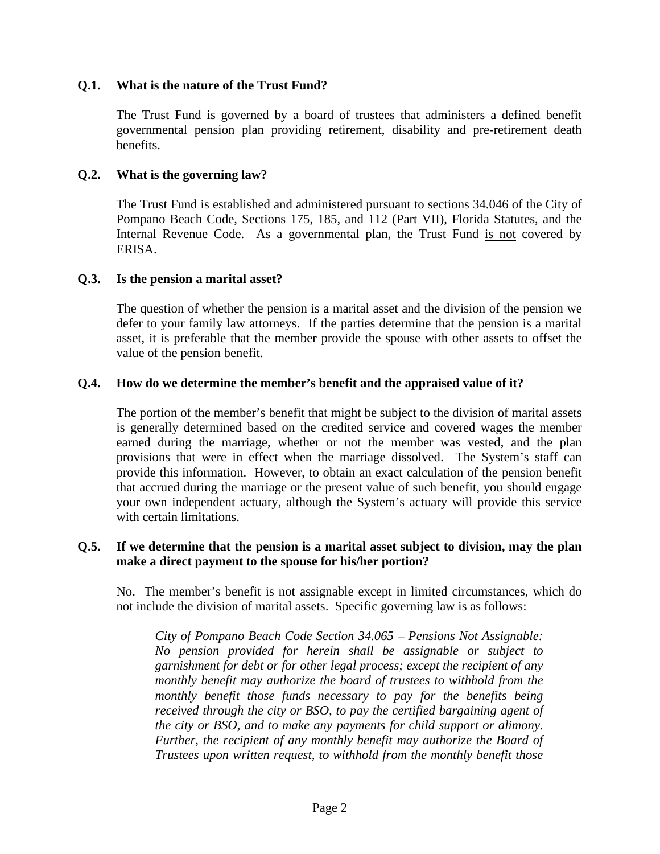# **Q.1. What is the nature of the Trust Fund?**

The Trust Fund is governed by a board of trustees that administers a defined benefit governmental pension plan providing retirement, disability and pre-retirement death benefits.

#### **Q.2. What is the governing law?**

The Trust Fund is established and administered pursuant to sections 34.046 of the City of Pompano Beach Code, Sections 175, 185, and 112 (Part VII), Florida Statutes, and the Internal Revenue Code. As a governmental plan, the Trust Fund is not covered by ERISA.

#### **Q.3. Is the pension a marital asset?**

The question of whether the pension is a marital asset and the division of the pension we defer to your family law attorneys. If the parties determine that the pension is a marital asset, it is preferable that the member provide the spouse with other assets to offset the value of the pension benefit.

## **Q.4. How do we determine the member's benefit and the appraised value of it?**

The portion of the member's benefit that might be subject to the division of marital assets is generally determined based on the credited service and covered wages the member earned during the marriage, whether or not the member was vested, and the plan provisions that were in effect when the marriage dissolved. The System's staff can provide this information. However, to obtain an exact calculation of the pension benefit that accrued during the marriage or the present value of such benefit, you should engage your own independent actuary, although the System's actuary will provide this service with certain limitations.

## **Q.5. If we determine that the pension is a marital asset subject to division, may the plan make a direct payment to the spouse for his/her portion?**

No. The member's benefit is not assignable except in limited circumstances, which do not include the division of marital assets. Specific governing law is as follows:

*City of Pompano Beach Code Section 34.065 – Pensions Not Assignable: No pension provided for herein shall be assignable or subject to garnishment for debt or for other legal process; except the recipient of any monthly benefit may authorize the board of trustees to withhold from the monthly benefit those funds necessary to pay for the benefits being received through the city or BSO, to pay the certified bargaining agent of the city or BSO, and to make any payments for child support or alimony. Further, the recipient of any monthly benefit may authorize the Board of Trustees upon written request, to withhold from the monthly benefit those*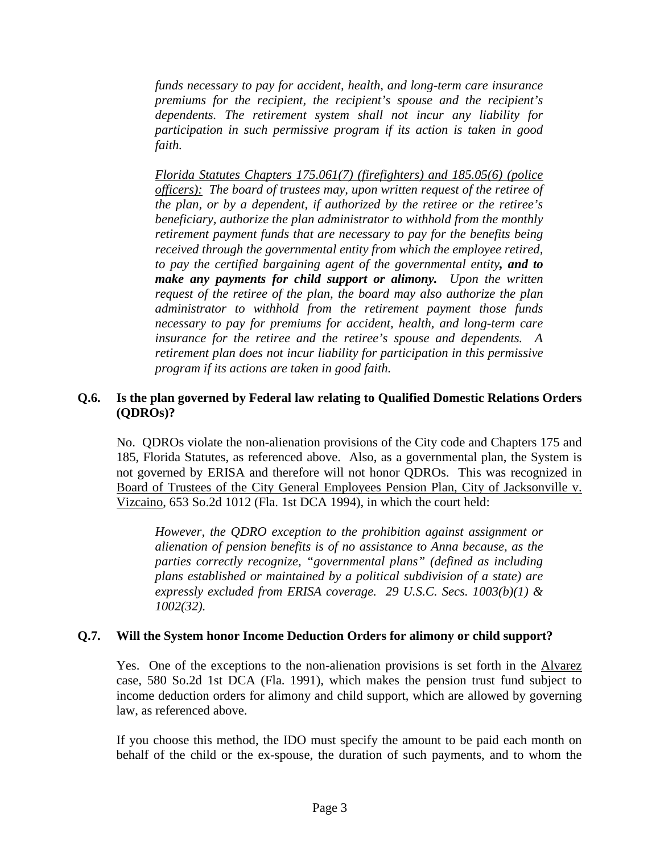*funds necessary to pay for accident, health, and long-term care insurance premiums for the recipient, the recipient's spouse and the recipient's dependents. The retirement system shall not incur any liability for participation in such permissive program if its action is taken in good faith.*

*Florida Statutes Chapters 175.061(7) (firefighters) and 185.05(6) (police officers): The board of trustees may, upon written request of the retiree of the plan, or by a dependent, if authorized by the retiree or the retiree's beneficiary, authorize the plan administrator to withhold from the monthly retirement payment funds that are necessary to pay for the benefits being received through the governmental entity from which the employee retired, to pay the certified bargaining agent of the governmental entity, and to make any payments for child support or alimony. Upon the written request of the retiree of the plan, the board may also authorize the plan administrator to withhold from the retirement payment those funds necessary to pay for premiums for accident, health, and long-term care insurance for the retiree and the retiree's spouse and dependents. A retirement plan does not incur liability for participation in this permissive program if its actions are taken in good faith.*

## **Q.6. Is the plan governed by Federal law relating to Qualified Domestic Relations Orders (QDROs)?**

No. QDROs violate the non-alienation provisions of the City code and Chapters 175 and 185, Florida Statutes, as referenced above. Also, as a governmental plan, the System is not governed by ERISA and therefore will not honor QDROs. This was recognized in Board of Trustees of the City General Employees Pension Plan, City of Jacksonville v. Vizcaino, 653 So.2d 1012 (Fla. 1st DCA 1994), in which the court held:

*However, the QDRO exception to the prohibition against assignment or alienation of pension benefits is of no assistance to Anna because, as the parties correctly recognize, "governmental plans" (defined as including plans established or maintained by a political subdivision of a state) are expressly excluded from ERISA coverage. 29 U.S.C. Secs. 1003(b)(1) & 1002(32).*

#### **Q.7. Will the System honor Income Deduction Orders for alimony or child support?**

Yes. One of the exceptions to the non-alienation provisions is set forth in the Alvarez case, 580 So.2d 1st DCA (Fla. 1991), which makes the pension trust fund subject to income deduction orders for alimony and child support, which are allowed by governing law, as referenced above.

If you choose this method, the IDO must specify the amount to be paid each month on behalf of the child or the ex-spouse, the duration of such payments, and to whom the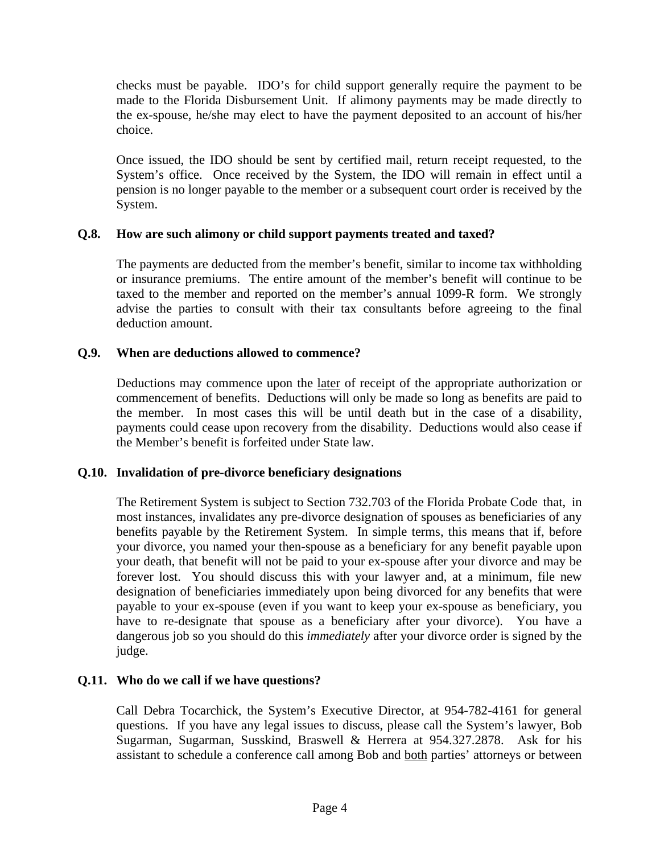checks must be payable. IDO's for child support generally require the payment to be made to the Florida Disbursement Unit. If alimony payments may be made directly to the ex-spouse, he/she may elect to have the payment deposited to an account of his/her choice.

Once issued, the IDO should be sent by certified mail, return receipt requested, to the System's office. Once received by the System, the IDO will remain in effect until a pension is no longer payable to the member or a subsequent court order is received by the System.

# **Q.8. How are such alimony or child support payments treated and taxed?**

The payments are deducted from the member's benefit, similar to income tax withholding or insurance premiums. The entire amount of the member's benefit will continue to be taxed to the member and reported on the member's annual 1099-R form. We strongly advise the parties to consult with their tax consultants before agreeing to the final deduction amount.

# **Q.9. When are deductions allowed to commence?**

Deductions may commence upon the later of receipt of the appropriate authorization or commencement of benefits. Deductions will only be made so long as benefits are paid to the member. In most cases this will be until death but in the case of a disability, payments could cease upon recovery from the disability. Deductions would also cease if the Member's benefit is forfeited under State law.

# **Q.10. Invalidation of pre-divorce beneficiary designations**

The Retirement System is subject to Section 732.703 of the Florida Probate Code that, in most instances, invalidates any pre-divorce designation of spouses as beneficiaries of any benefits payable by the Retirement System. In simple terms, this means that if, before your divorce, you named your then-spouse as a beneficiary for any benefit payable upon your death, that benefit will not be paid to your ex-spouse after your divorce and may be forever lost. You should discuss this with your lawyer and, at a minimum, file new designation of beneficiaries immediately upon being divorced for any benefits that were payable to your ex-spouse (even if you want to keep your ex-spouse as beneficiary, you have to re-designate that spouse as a beneficiary after your divorce). You have a dangerous job so you should do this *immediately* after your divorce order is signed by the judge.

# **Q.11. Who do we call if we have questions?**

Call Debra Tocarchick, the System's Executive Director, at 954-782-4161 for general questions. If you have any legal issues to discuss, please call the System's lawyer, Bob Sugarman, Sugarman, Susskind, Braswell & Herrera at 954.327.2878. Ask for his assistant to schedule a conference call among Bob and both parties' attorneys or between